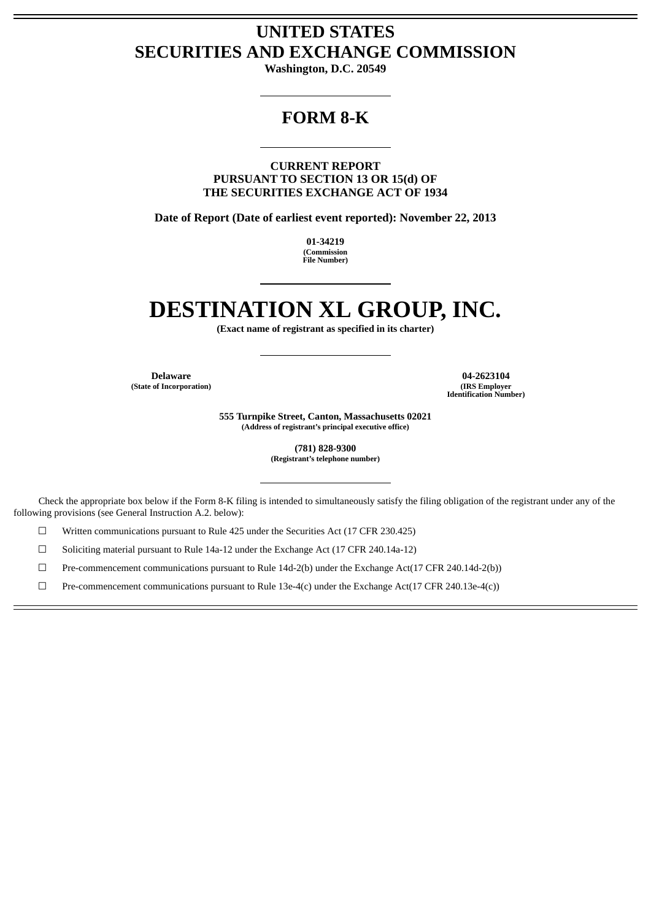# **UNITED STATES SECURITIES AND EXCHANGE COMMISSION**

**Washington, D.C. 20549**

# **FORM 8-K**

**CURRENT REPORT PURSUANT TO SECTION 13 OR 15(d) OF THE SECURITIES EXCHANGE ACT OF 1934**

**Date of Report (Date of earliest event reported): November 22, 2013**

**01-34219 (Commission File Number)**

# **DESTINATION XL GROUP, INC.**

**(Exact name of registrant as specified in its charter)**

 $(State of Incorporation)$ 

**Delaware 04-2623104 Identification Number)**

> **555 Turnpike Street, Canton, Massachusetts 02021 (Address of registrant's principal executive office)**

> > **(781) 828-9300 (Registrant's telephone number)**

Check the appropriate box below if the Form 8-K filing is intended to simultaneously satisfy the filing obligation of the registrant under any of the following provisions (see General Instruction A.2. below):

☐ Written communications pursuant to Rule 425 under the Securities Act (17 CFR 230.425)

☐ Soliciting material pursuant to Rule 14a-12 under the Exchange Act (17 CFR 240.14a-12)

☐ Pre-commencement communications pursuant to Rule 14d-2(b) under the Exchange Act(17 CFR 240.14d-2(b))

☐ Pre-commencement communications pursuant to Rule 13e-4(c) under the Exchange Act(17 CFR 240.13e-4(c))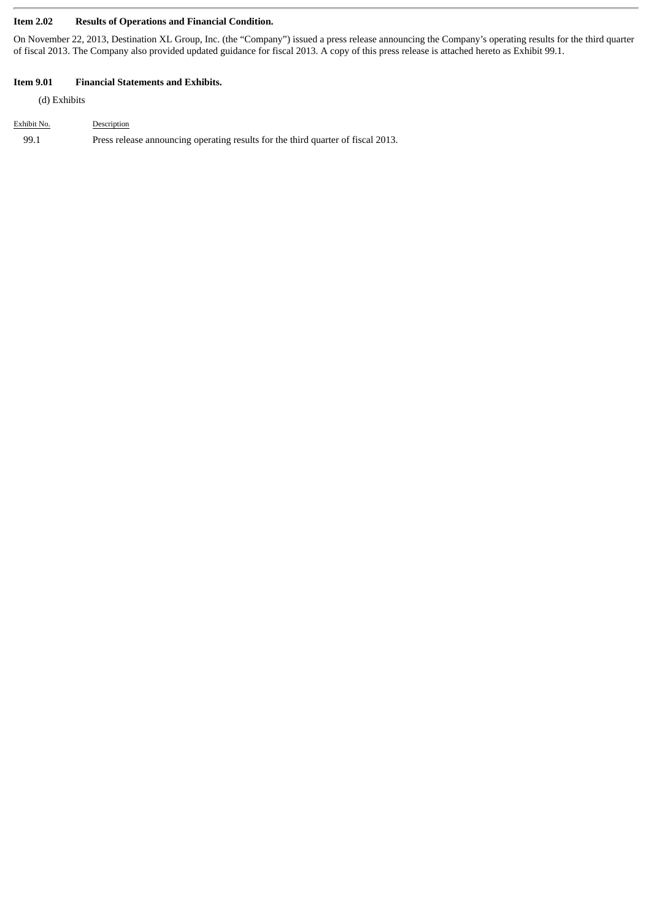### **Item 2.02 Results of Operations and Financial Condition.**

On November 22, 2013, Destination XL Group, Inc. (the "Company") issued a press release announcing the Company's operating results for the third quarter of fiscal 2013. The Company also provided updated guidance for fiscal 2013. A copy of this press release is attached hereto as Exhibit 99.1.

#### **Item 9.01 Financial Statements and Exhibits.**

(d) Exhibits

| Exhibit No. | Description                                                                      |
|-------------|----------------------------------------------------------------------------------|
| 99.1        | Press release announcing operating results for the third quarter of fiscal 2013. |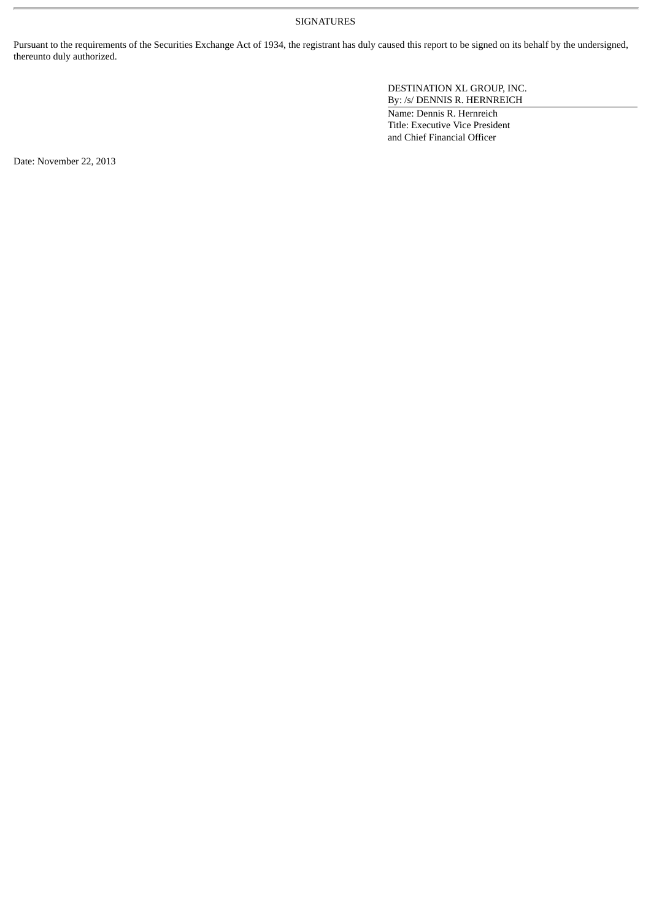#### SIGNATURES

Pursuant to the requirements of the Securities Exchange Act of 1934, the registrant has duly caused this report to be signed on its behalf by the undersigned, thereunto duly authorized.

> DESTINATION XL GROUP, INC. By: /s/ DENNIS R. HERNREICH

Name: Dennis R. Hernreich Title: Executive Vice President and Chief Financial Officer

Date: November 22, 2013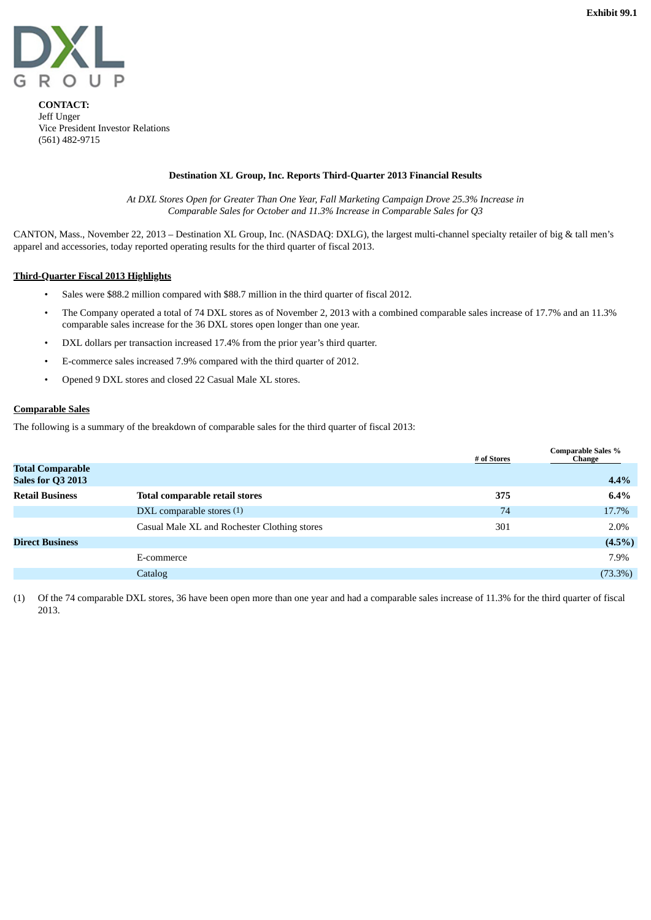

**CONTACT:** Jeff Unger Vice President Investor Relations (561) 482-9715

#### **Destination XL Group, Inc. Reports Third-Quarter 2013 Financial Results**

*At DXL Stores Open for Greater Than One Year, Fall Marketing Campaign Drove 25.3% Increase in Comparable Sales for October and 11.3% Increase in Comparable Sales for Q3*

CANTON, Mass., November 22, 2013 – Destination XL Group, Inc. (NASDAQ: DXLG), the largest multi-channel specialty retailer of big & tall men's apparel and accessories, today reported operating results for the third quarter of fiscal 2013.

#### **Third-Quarter Fiscal 2013 Highlights**

- Sales were \$88.2 million compared with \$88.7 million in the third quarter of fiscal 2012.
- The Company operated a total of 74 DXL stores as of November 2, 2013 with a combined comparable sales increase of 17.7% and an 11.3% comparable sales increase for the 36 DXL stores open longer than one year.
- DXL dollars per transaction increased 17.4% from the prior year's third quarter.
- E-commerce sales increased 7.9% compared with the third quarter of 2012.
- Opened 9 DXL stores and closed 22 Casual Male XL stores.

## **Comparable Sales**

The following is a summary of the breakdown of comparable sales for the third quarter of fiscal 2013:

|                                              |                                              | # of Stores | <b>Comparable Sales %</b><br>Change |
|----------------------------------------------|----------------------------------------------|-------------|-------------------------------------|
| <b>Total Comparable</b><br>Sales for Q3 2013 |                                              |             | $4.4\%$                             |
| <b>Retail Business</b>                       | <b>Total comparable retail stores</b>        | 375         | $6.4\%$                             |
|                                              | DXL comparable stores (1)                    | 74          | 17.7%                               |
|                                              | Casual Male XL and Rochester Clothing stores | 301         | 2.0%                                |
| <b>Direct Business</b>                       |                                              |             | $(4.5\%)$                           |
|                                              | E-commerce                                   |             | 7.9%                                |
|                                              | Catalog                                      |             | $(73.3\%)$                          |

(1) Of the 74 comparable DXL stores, 36 have been open more than one year and had a comparable sales increase of 11.3% for the third quarter of fiscal 2013.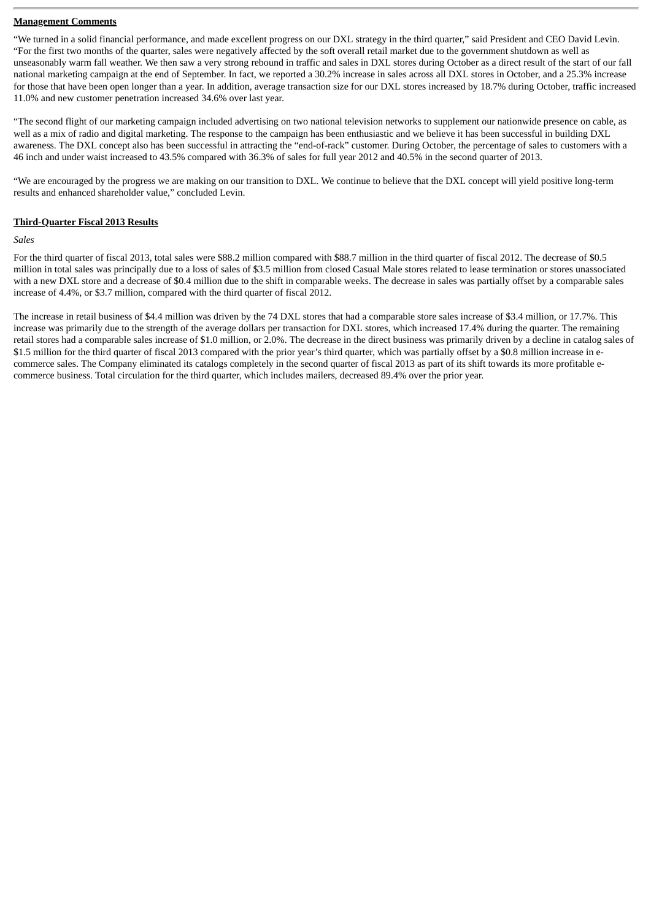#### **Management Comments**

"We turned in a solid financial performance, and made excellent progress on our DXL strategy in the third quarter," said President and CEO David Levin. "For the first two months of the quarter, sales were negatively affected by the soft overall retail market due to the government shutdown as well as unseasonably warm fall weather. We then saw a very strong rebound in traffic and sales in DXL stores during October as a direct result of the start of our fall national marketing campaign at the end of September. In fact, we reported a 30.2% increase in sales across all DXL stores in October, and a 25.3% increase for those that have been open longer than a year. In addition, average transaction size for our DXL stores increased by 18.7% during October, traffic increased 11.0% and new customer penetration increased 34.6% over last year.

"The second flight of our marketing campaign included advertising on two national television networks to supplement our nationwide presence on cable, as well as a mix of radio and digital marketing. The response to the campaign has been enthusiastic and we believe it has been successful in building DXL awareness. The DXL concept also has been successful in attracting the "end-of-rack" customer. During October, the percentage of sales to customers with a 46 inch and under waist increased to 43.5% compared with 36.3% of sales for full year 2012 and 40.5% in the second quarter of 2013.

"We are encouraged by the progress we are making on our transition to DXL. We continue to believe that the DXL concept will yield positive long-term results and enhanced shareholder value," concluded Levin.

#### **Third-Quarter Fiscal 2013 Results**

#### *Sales*

For the third quarter of fiscal 2013, total sales were \$88.2 million compared with \$88.7 million in the third quarter of fiscal 2012. The decrease of \$0.5 million in total sales was principally due to a loss of sales of \$3.5 million from closed Casual Male stores related to lease termination or stores unassociated with a new DXL store and a decrease of \$0.4 million due to the shift in comparable weeks. The decrease in sales was partially offset by a comparable sales increase of 4.4%, or \$3.7 million, compared with the third quarter of fiscal 2012.

The increase in retail business of \$4.4 million was driven by the 74 DXL stores that had a comparable store sales increase of \$3.4 million, or 17.7%. This increase was primarily due to the strength of the average dollars per transaction for DXL stores, which increased 17.4% during the quarter. The remaining retail stores had a comparable sales increase of \$1.0 million, or 2.0%. The decrease in the direct business was primarily driven by a decline in catalog sales of \$1.5 million for the third quarter of fiscal 2013 compared with the prior year's third quarter, which was partially offset by a \$0.8 million increase in ecommerce sales. The Company eliminated its catalogs completely in the second quarter of fiscal 2013 as part of its shift towards its more profitable ecommerce business. Total circulation for the third quarter, which includes mailers, decreased 89.4% over the prior year.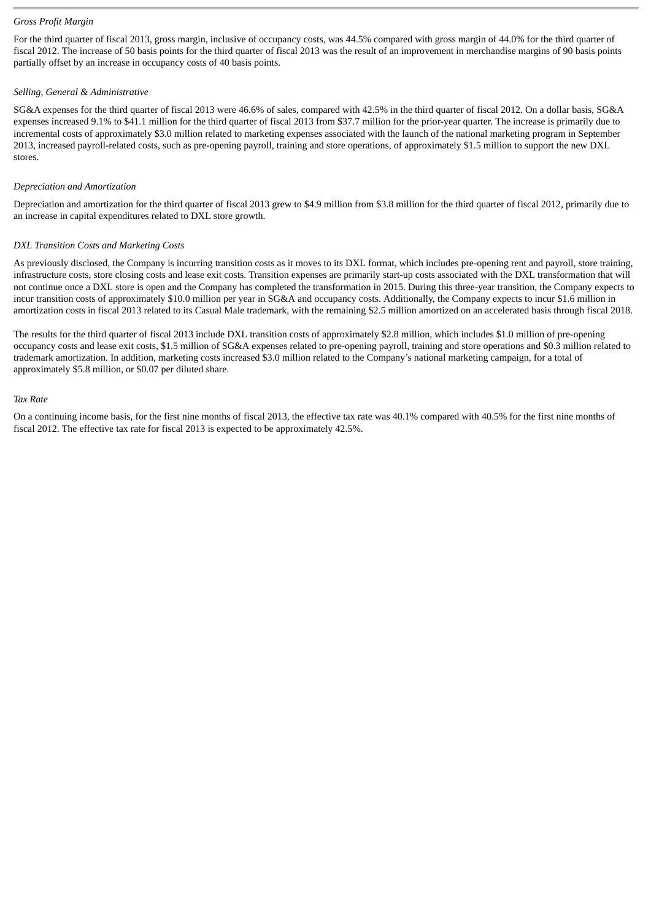#### *Gross Profit Margin*

For the third quarter of fiscal 2013, gross margin, inclusive of occupancy costs, was 44.5% compared with gross margin of 44.0% for the third quarter of fiscal 2012. The increase of 50 basis points for the third quarter of fiscal 2013 was the result of an improvement in merchandise margins of 90 basis points partially offset by an increase in occupancy costs of 40 basis points.

#### *Selling, General & Administrative*

SG&A expenses for the third quarter of fiscal 2013 were 46.6% of sales, compared with 42.5% in the third quarter of fiscal 2012. On a dollar basis, SG&A expenses increased 9.1% to \$41.1 million for the third quarter of fiscal 2013 from \$37.7 million for the prior-year quarter. The increase is primarily due to incremental costs of approximately \$3.0 million related to marketing expenses associated with the launch of the national marketing program in September 2013, increased payroll-related costs, such as pre-opening payroll, training and store operations, of approximately \$1.5 million to support the new DXL stores.

#### *Depreciation and Amortization*

Depreciation and amortization for the third quarter of fiscal 2013 grew to \$4.9 million from \$3.8 million for the third quarter of fiscal 2012, primarily due to an increase in capital expenditures related to DXL store growth.

#### *DXL Transition Costs and Marketing Costs*

As previously disclosed, the Company is incurring transition costs as it moves to its DXL format, which includes pre-opening rent and payroll, store training, infrastructure costs, store closing costs and lease exit costs. Transition expenses are primarily start-up costs associated with the DXL transformation that will not continue once a DXL store is open and the Company has completed the transformation in 2015. During this three-year transition, the Company expects to incur transition costs of approximately \$10.0 million per year in SG&A and occupancy costs. Additionally, the Company expects to incur \$1.6 million in amortization costs in fiscal 2013 related to its Casual Male trademark, with the remaining \$2.5 million amortized on an accelerated basis through fiscal 2018.

The results for the third quarter of fiscal 2013 include DXL transition costs of approximately \$2.8 million, which includes \$1.0 million of pre-opening occupancy costs and lease exit costs, \$1.5 million of SG&A expenses related to pre-opening payroll, training and store operations and \$0.3 million related to trademark amortization. In addition, marketing costs increased \$3.0 million related to the Company's national marketing campaign, for a total of approximately \$5.8 million, or \$0.07 per diluted share.

#### *Tax Rate*

On a continuing income basis, for the first nine months of fiscal 2013, the effective tax rate was 40.1% compared with 40.5% for the first nine months of fiscal 2012. The effective tax rate for fiscal 2013 is expected to be approximately 42.5%.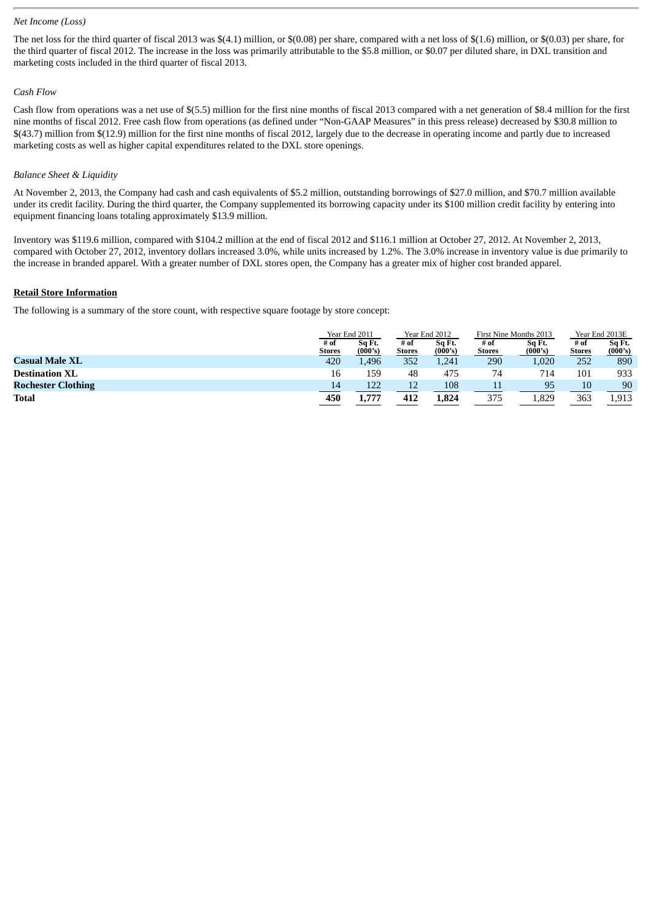#### *Net Income (Loss)*

The net loss for the third quarter of fiscal 2013 was \$(4.1) million, or \$(0.08) per share, compared with a net loss of \$(1.6) million, or \$(0.03) per share, for the third quarter of fiscal 2012. The increase in the loss was primarily attributable to the \$5.8 million, or \$0.07 per diluted share, in DXL transition and marketing costs included in the third quarter of fiscal 2013.

#### *Cash Flow*

Cash flow from operations was a net use of \$(5.5) million for the first nine months of fiscal 2013 compared with a net generation of \$8.4 million for the first nine months of fiscal 2012. Free cash flow from operations (as defined under "Non-GAAP Measures" in this press release) decreased by \$30.8 million to \$(43.7) million from \$(12.9) million for the first nine months of fiscal 2012, largely due to the decrease in operating income and partly due to increased marketing costs as well as higher capital expenditures related to the DXL store openings.

#### *Balance Sheet & Liquidity*

At November 2, 2013, the Company had cash and cash equivalents of \$5.2 million, outstanding borrowings of \$27.0 million, and \$70.7 million available under its credit facility. During the third quarter, the Company supplemented its borrowing capacity under its \$100 million credit facility by entering into equipment financing loans totaling approximately \$13.9 million.

Inventory was \$119.6 million, compared with \$104.2 million at the end of fiscal 2012 and \$116.1 million at October 27, 2012. At November 2, 2013, compared with October 27, 2012, inventory dollars increased 3.0%, while units increased by 1.2%. The 3.0% increase in inventory value is due primarily to the increase in branded apparel. With a greater number of DXL stores open, the Company has a greater mix of higher cost branded apparel.

#### **Retail Store Information**

The following is a summary of the store count, with respective square footage by store concept:

|                           | Year End 2011         |                   | Year End 2012  |                   | First Nine Months 2013 |                   | Year End 2013E        |                   |
|---------------------------|-----------------------|-------------------|----------------|-------------------|------------------------|-------------------|-----------------------|-------------------|
|                           | # of<br><b>Stores</b> | Sq Ft.<br>(000's) | # of<br>Stores | Sq Ft.<br>(000's) | # of<br><b>Stores</b>  | Sa Ft.<br>(000's) | # of<br><b>Stores</b> | Sq Ft.<br>(000's) |
| <b>Casual Male XL</b>     | 420                   | 1.496             | 352            | 1,241             | 290                    | 1,020             | 252                   | 890               |
| <b>Destination XL</b>     | 16                    | 159               | 48             | 475               | 74                     | 714               | 101                   | 933               |
| <b>Rochester Clothing</b> | $\overline{14}$       | 122               | 12             | 108               |                        | 95                | 10                    | 90                |
| <b>Total</b>              | 450                   | 1,777             | 412            | 1.824             | 375                    | 1,829             | 363                   | 1,913             |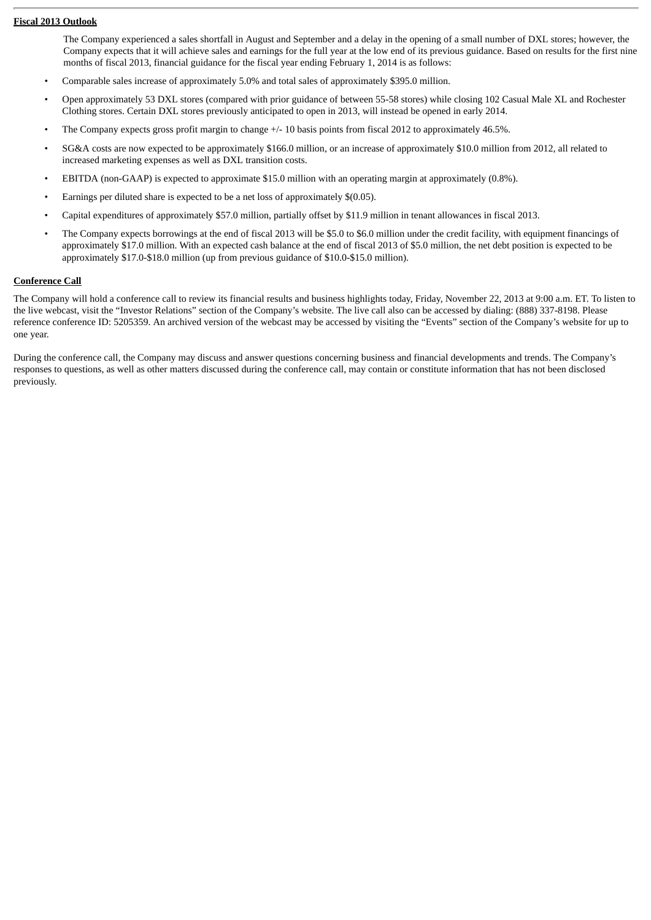#### **Fiscal 2013 Outlook**

The Company experienced a sales shortfall in August and September and a delay in the opening of a small number of DXL stores; however, the Company expects that it will achieve sales and earnings for the full year at the low end of its previous guidance. Based on results for the first nine months of fiscal 2013, financial guidance for the fiscal year ending February 1, 2014 is as follows:

- Comparable sales increase of approximately 5.0% and total sales of approximately \$395.0 million.
- Open approximately 53 DXL stores (compared with prior guidance of between 55-58 stores) while closing 102 Casual Male XL and Rochester Clothing stores. Certain DXL stores previously anticipated to open in 2013, will instead be opened in early 2014.
- The Company expects gross profit margin to change  $+/$  10 basis points from fiscal 2012 to approximately 46.5%.
- SG&A costs are now expected to be approximately \$166.0 million, or an increase of approximately \$10.0 million from 2012, all related to increased marketing expenses as well as DXL transition costs.
- EBITDA (non-GAAP) is expected to approximate \$15.0 million with an operating margin at approximately (0.8%).
- Earnings per diluted share is expected to be a net loss of approximately \$(0.05).
- Capital expenditures of approximately \$57.0 million, partially offset by \$11.9 million in tenant allowances in fiscal 2013.
- The Company expects borrowings at the end of fiscal 2013 will be \$5.0 to \$6.0 million under the credit facility, with equipment financings of approximately \$17.0 million. With an expected cash balance at the end of fiscal 2013 of \$5.0 million, the net debt position is expected to be approximately \$17.0-\$18.0 million (up from previous guidance of \$10.0-\$15.0 million).

#### **Conference Call**

The Company will hold a conference call to review its financial results and business highlights today, Friday, November 22, 2013 at 9:00 a.m. ET. To listen to the live webcast, visit the "Investor Relations" section of the Company's website. The live call also can be accessed by dialing: (888) 337-8198. Please reference conference ID: 5205359. An archived version of the webcast may be accessed by visiting the "Events" section of the Company's website for up to one year.

During the conference call, the Company may discuss and answer questions concerning business and financial developments and trends. The Company's responses to questions, as well as other matters discussed during the conference call, may contain or constitute information that has not been disclosed previously.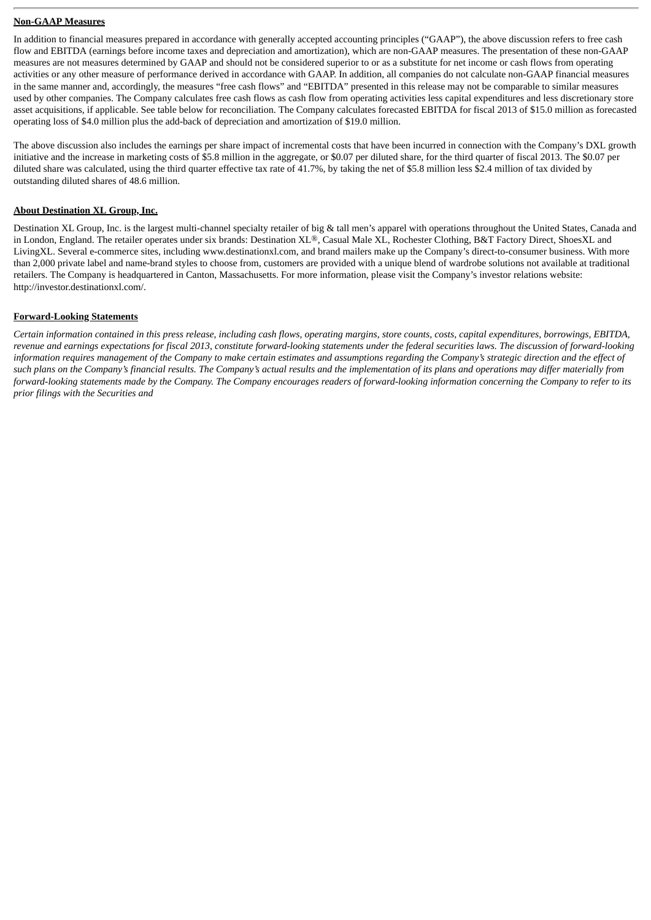#### **Non-GAAP Measures**

In addition to financial measures prepared in accordance with generally accepted accounting principles ("GAAP"), the above discussion refers to free cash flow and EBITDA (earnings before income taxes and depreciation and amortization), which are non-GAAP measures. The presentation of these non-GAAP measures are not measures determined by GAAP and should not be considered superior to or as a substitute for net income or cash flows from operating activities or any other measure of performance derived in accordance with GAAP. In addition, all companies do not calculate non-GAAP financial measures in the same manner and, accordingly, the measures "free cash flows" and "EBITDA" presented in this release may not be comparable to similar measures used by other companies. The Company calculates free cash flows as cash flow from operating activities less capital expenditures and less discretionary store asset acquisitions, if applicable. See table below for reconciliation. The Company calculates forecasted EBITDA for fiscal 2013 of \$15.0 million as forecasted operating loss of \$4.0 million plus the add-back of depreciation and amortization of \$19.0 million.

The above discussion also includes the earnings per share impact of incremental costs that have been incurred in connection with the Company's DXL growth initiative and the increase in marketing costs of \$5.8 million in the aggregate, or \$0.07 per diluted share, for the third quarter of fiscal 2013. The \$0.07 per diluted share was calculated, using the third quarter effective tax rate of 41.7%, by taking the net of \$5.8 million less \$2.4 million of tax divided by outstanding diluted shares of 48.6 million.

#### **About Destination XL Group, Inc.**

Destination XL Group, Inc. is the largest multi-channel specialty retailer of big & tall men's apparel with operations throughout the United States, Canada and in London, England. The retailer operates under six brands: Destination XL®, Casual Male XL, Rochester Clothing, B&T Factory Direct, ShoesXL and LivingXL. Several e-commerce sites, including www.destinationxl.com, and brand mailers make up the Company's direct-to-consumer business. With more than 2,000 private label and name-brand styles to choose from, customers are provided with a unique blend of wardrobe solutions not available at traditional retailers. The Company is headquartered in Canton, Massachusetts. For more information, please visit the Company's investor relations website: http://investor.destinationxl.com/.

#### **Forward-Looking Statements**

Certain information contained in this press release, including cash flows, operating margins, store counts, costs, capital expenditures, borrowings, EBITDA, revenue and earnings expectations for fiscal 2013, constitute forward-looking statements under the federal securities laws. The discussion of forward-looking information requires management of the Company to make certain estimates and assumptions regarding the Company's strategic direction and the effect of such plans on the Company's financial results. The Company's actual results and the implementation of its plans and operations may differ materially from forward-looking statements made by the Company. The Company encourages readers of forward-looking information concerning the Company to refer to its *prior filings with the Securities and*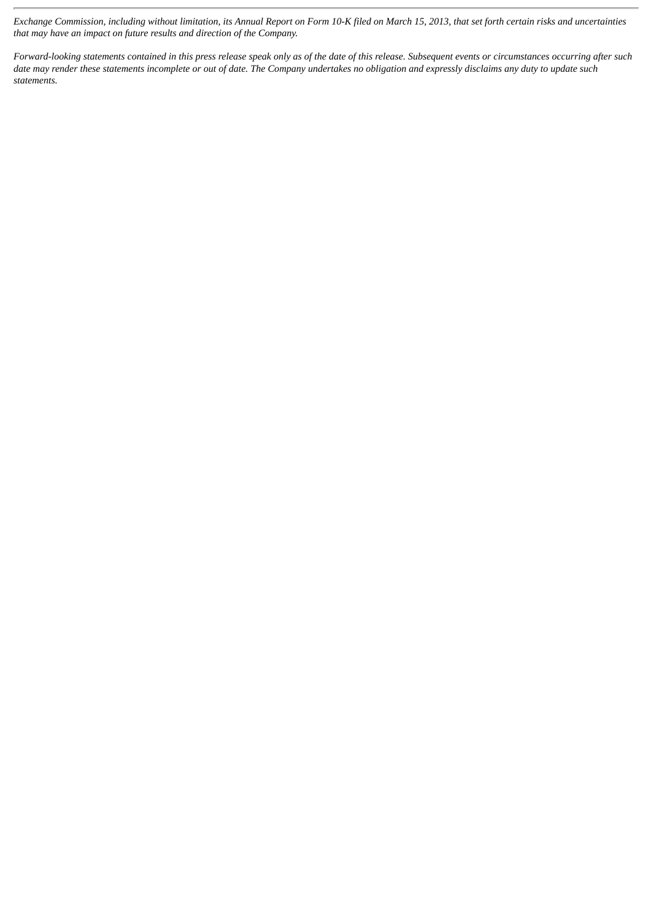Exchange Commission, including without limitation, its Annual Report on Form 10-K filed on March 15, 2013, that set forth certain risks and uncertainties *that may have an impact on future results and direction of the Company.*

Forward-looking statements contained in this press release speak only as of the date of this release. Subsequent events or circumstances occurring after such date may render these statements incomplete or out of date. The Company undertakes no obligation and expressly disclaims any duty to update such *statements.*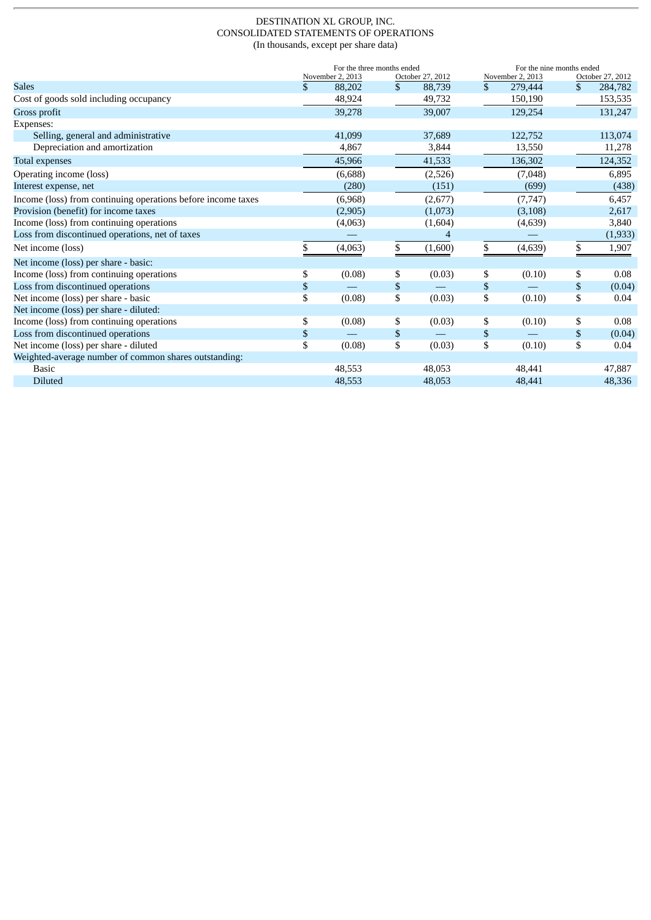#### DESTINATION XL GROUP, INC. CONSOLIDATED STATEMENTS OF OPERATIONS (In thousands, except per share data)

|                                                              | For the three months ended<br>October 27, 2012 |    |         |              | For the nine months ended<br>November 2, 2013 |              | October 27, 2012 |  |
|--------------------------------------------------------------|------------------------------------------------|----|---------|--------------|-----------------------------------------------|--------------|------------------|--|
| <b>Sales</b>                                                 | \$<br>November 2, 2013<br>88,202               | \$ | 88,739  | $\mathbb{S}$ | 279,444                                       | \$           | 284,782          |  |
| Cost of goods sold including occupancy                       | 48,924                                         |    | 49,732  |              | 150,190                                       |              | 153,535          |  |
| Gross profit                                                 | 39,278                                         |    | 39,007  |              | 129,254                                       |              | 131,247          |  |
| Expenses:                                                    |                                                |    |         |              |                                               |              |                  |  |
| Selling, general and administrative                          | 41,099                                         |    | 37,689  |              | 122,752                                       |              | 113,074          |  |
| Depreciation and amortization                                | 4,867                                          |    | 3,844   |              | 13,550                                        |              | 11,278           |  |
| Total expenses                                               | 45,966                                         |    | 41,533  |              | 136,302                                       |              | 124,352          |  |
| Operating income (loss)                                      | (6,688)                                        |    | (2,526) |              | (7,048)                                       |              | 6,895            |  |
| Interest expense, net                                        | (280)                                          |    | (151)   |              | (699)                                         |              | (438)            |  |
| Income (loss) from continuing operations before income taxes | (6,968)                                        |    | (2,677) |              | (7, 747)                                      |              | 6,457            |  |
| Provision (benefit) for income taxes                         | (2,905)                                        |    | (1,073) |              | (3, 108)                                      |              | 2,617            |  |
| Income (loss) from continuing operations                     | (4,063)                                        |    | (1,604) |              | (4,639)                                       |              | 3,840            |  |
| Loss from discontinued operations, net of taxes              |                                                |    | 4       |              |                                               |              | (1, 933)         |  |
| Net income (loss)                                            | \$<br>(4,063)                                  | \$ | (1,600) | \$           | (4, 639)                                      | \$           | 1,907            |  |
| Net income (loss) per share - basic:                         |                                                |    |         |              |                                               |              |                  |  |
| Income (loss) from continuing operations                     | \$<br>(0.08)                                   | \$ | (0.03)  | \$           | (0.10)                                        | \$           | 0.08             |  |
| Loss from discontinued operations                            | \$                                             | \$ |         | $\mathbb{S}$ |                                               | $\mathbb{S}$ | (0.04)           |  |
| Net income (loss) per share - basic                          | \$<br>(0.08)                                   | \$ | (0.03)  | \$           | (0.10)                                        | \$           | 0.04             |  |
| Net income (loss) per share - diluted:                       |                                                |    |         |              |                                               |              |                  |  |
| Income (loss) from continuing operations                     | \$<br>(0.08)                                   | \$ | (0.03)  | \$           | (0.10)                                        | \$           | 0.08             |  |
| Loss from discontinued operations                            | \$                                             | \$ |         | $\mathbb{S}$ |                                               | \$           | (0.04)           |  |
| Net income (loss) per share - diluted                        | \$<br>(0.08)                                   | \$ | (0.03)  | \$           | (0.10)                                        | \$           | 0.04             |  |
| Weighted-average number of common shares outstanding:        |                                                |    |         |              |                                               |              |                  |  |
| <b>Basic</b>                                                 | 48,553                                         |    | 48,053  |              | 48,441                                        |              | 47,887           |  |
| <b>Diluted</b>                                               | 48,553                                         |    | 48,053  |              | 48,441                                        |              | 48,336           |  |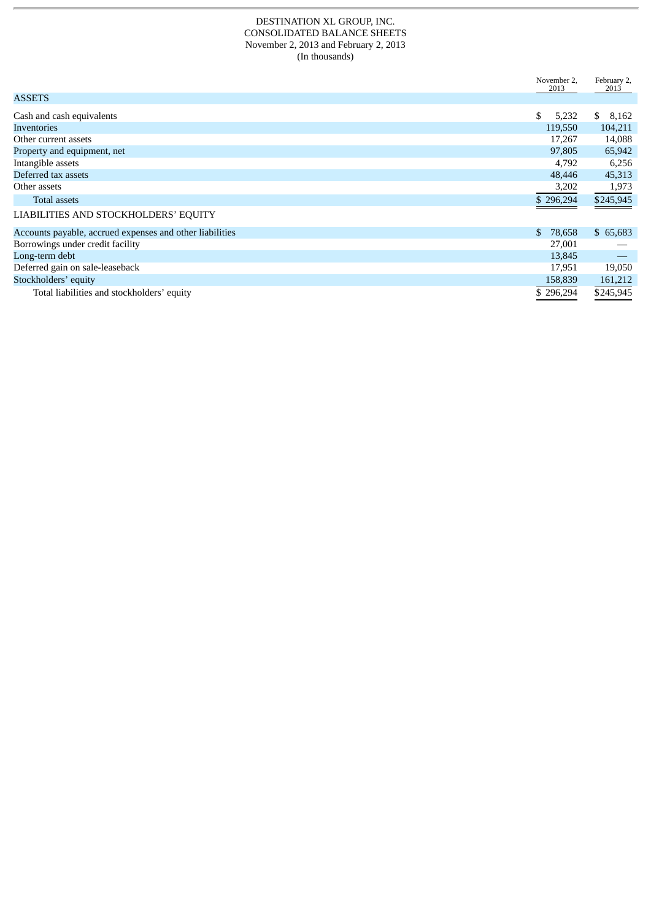#### DESTINATION XL GROUP, INC. CONSOLIDATED BALANCE SHEETS November 2, 2013 and February 2, 2013 (In thousands)

|                                                          | November 2,<br>2013 | February 2,<br>2013 |
|----------------------------------------------------------|---------------------|---------------------|
| <b>ASSETS</b>                                            |                     |                     |
| Cash and cash equivalents                                | \$<br>5,232         | \$<br>8,162         |
| <b>Inventories</b>                                       | 119,550             | 104,211             |
| Other current assets                                     | 17,267              | 14,088              |
| Property and equipment, net                              | 97,805              | 65,942              |
| Intangible assets                                        | 4,792               | 6,256               |
| Deferred tax assets                                      | 48,446              | 45,313              |
| Other assets                                             | 3,202               | 1,973               |
| <b>Total assets</b>                                      | \$296,294           | \$245,945           |
| LIABILITIES AND STOCKHOLDERS' EQUITY                     |                     |                     |
| Accounts payable, accrued expenses and other liabilities | 78,658<br>\$        | \$65,683            |
| Borrowings under credit facility                         | 27,001              |                     |
| Long-term debt                                           | 13,845              |                     |
| Deferred gain on sale-leaseback                          | 17,951              | 19,050              |
| Stockholders' equity                                     | 158,839             | 161,212             |
| Total liabilities and stockholders' equity               | \$296,294           | \$245,945           |